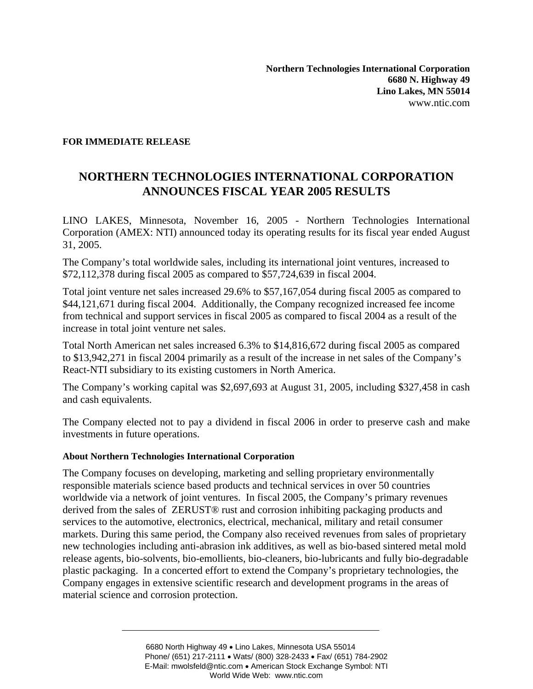## **FOR IMMEDIATE RELEASE**

## **NORTHERN TECHNOLOGIES INTERNATIONAL CORPORATION ANNOUNCES FISCAL YEAR 2005 RESULTS**

LINO LAKES, Minnesota, November 16, 2005 - Northern Technologies International Corporation (AMEX: NTI) announced today its operating results for its fiscal year ended August 31, 2005.

The Company's total worldwide sales, including its international joint ventures, increased to \$72,112,378 during fiscal 2005 as compared to \$57,724,639 in fiscal 2004.

Total joint venture net sales increased 29.6% to \$57,167,054 during fiscal 2005 as compared to \$44,121,671 during fiscal 2004. Additionally, the Company recognized increased fee income from technical and support services in fiscal 2005 as compared to fiscal 2004 as a result of the increase in total joint venture net sales.

Total North American net sales increased 6.3% to \$14,816,672 during fiscal 2005 as compared to \$13,942,271 in fiscal 2004 primarily as a result of the increase in net sales of the Company's React-NTI subsidiary to its existing customers in North America.

The Company's working capital was \$2,697,693 at August 31, 2005, including \$327,458 in cash and cash equivalents.

The Company elected not to pay a dividend in fiscal 2006 in order to preserve cash and make investments in future operations.

## **About Northern Technologies International Corporation**

The Company focuses on developing, marketing and selling proprietary environmentally responsible materials science based products and technical services in over 50 countries worldwide via a network of joint ventures. In fiscal 2005, the Company's primary revenues derived from the sales of ZERUST® rust and corrosion inhibiting packaging products and services to the automotive, electronics, electrical, mechanical, military and retail consumer markets. During this same period, the Company also received revenues from sales of proprietary new technologies including anti-abrasion ink additives, as well as bio-based sintered metal mold release agents, bio-solvents, bio-emollients, bio-cleaners, bio-lubricants and fully bio-degradable plastic packaging. In a concerted effort to extend the Company's proprietary technologies, the Company engages in extensive scientific research and development programs in the areas of material science and corrosion protection.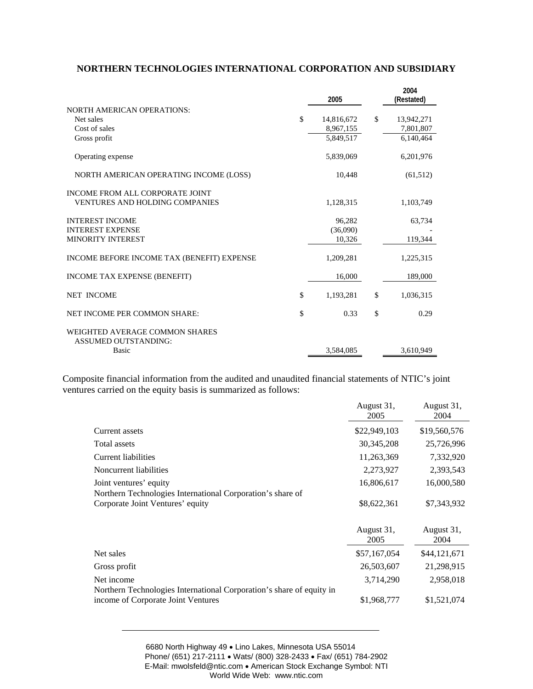## **NORTHERN TECHNOLOGIES INTERNATIONAL CORPORATION AND SUBSIDIARY**

|                                                                                 | 2005                         |              | 2004<br>(Restated)     |
|---------------------------------------------------------------------------------|------------------------------|--------------|------------------------|
| <b>NORTH AMERICAN OPERATIONS:</b><br>Net sales                                  | \$<br>14,816,672             | $\mathbb{S}$ | 13,942,271             |
| Cost of sales<br>Gross profit                                                   | 8,967,155<br>5,849,517       |              | 7,801,807<br>6,140,464 |
| Operating expense                                                               | 5,839,069                    |              | 6,201,976              |
| NORTH AMERICAN OPERATING INCOME (LOSS)                                          | 10,448                       |              | (61,512)               |
| <b>INCOME FROM ALL CORPORATE JOINT</b><br><b>VENTURES AND HOLDING COMPANIES</b> | 1,128,315                    |              | 1,103,749              |
| <b>INTEREST INCOME</b><br><b>INTEREST EXPENSE</b><br><b>MINORITY INTEREST</b>   | 96,282<br>(36,090)<br>10,326 |              | 63,734<br>119,344      |
| <b>INCOME BEFORE INCOME TAX (BENEFIT) EXPENSE</b>                               | 1,209,281                    |              | 1,225,315              |
| <b>INCOME TAX EXPENSE (BENEFIT)</b>                                             | 16,000                       |              | 189,000                |
| <b>NET INCOME</b>                                                               | \$<br>1,193,281              | \$           | 1,036,315              |
| NET INCOME PER COMMON SHARE:                                                    | \$<br>0.33                   | \$           | 0.29                   |
| WEIGHTED AVERAGE COMMON SHARES<br><b>ASSUMED OUTSTANDING:</b>                   |                              |              |                        |
| Basic                                                                           | 3,584,085                    |              | 3,610,949              |

Composite financial information from the audited and unaudited financial statements of NTIC's joint ventures carried on the equity basis is summarized as follows:

|                                                                                                            | August 31,<br>2005 | August 31,<br>2004 |
|------------------------------------------------------------------------------------------------------------|--------------------|--------------------|
| Current assets                                                                                             | \$22,949,103       | \$19,560,576       |
| Total assets                                                                                               | 30, 345, 208       | 25,726,996         |
| Current liabilities                                                                                        | 11,263,369         | 7,332,920          |
| Noncurrent liabilities                                                                                     | 2,273,927          | 2,393,543          |
| Joint ventures' equity<br>Northern Technologies International Corporation's share of                       | 16,806,617         | 16,000,580         |
| Corporate Joint Ventures' equity                                                                           | \$8,622,361        | \$7,343,932        |
|                                                                                                            | August 31,<br>2005 | August 31,<br>2004 |
| Net sales                                                                                                  | \$57,167,054       | \$44,121,671       |
| Gross profit                                                                                               | 26,503,607         | 21,298,915         |
| Net income                                                                                                 | 3,714,290          | 2,958,018          |
| Northern Technologies International Corporation's share of equity in<br>income of Corporate Joint Ventures | \$1,968,777        | \$1,521,074        |

6680 North Highway 49 • Lino Lakes, Minnesota USA 55014 Phone/ (651) 217-2111 • Wats/ (800) 328-2433 • Fax/ (651) 784-2902 E-Mail: mwolsfeld@ntic.com • American Stock Exchange Symbol: NTI World Wide Web: www.ntic.com